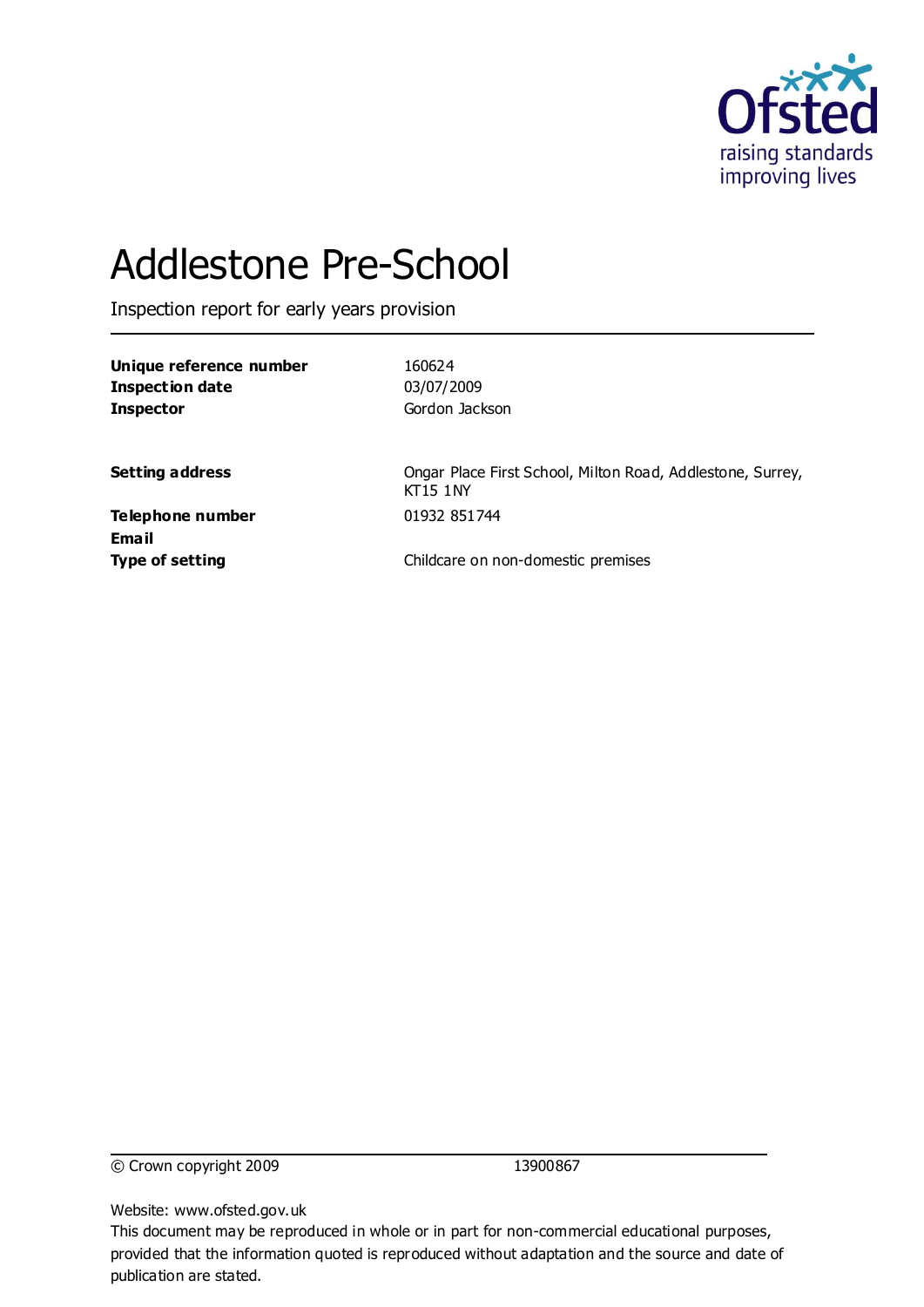

# Addlestone Pre-School

Inspection report for early years provision

**Unique reference number** 160624 **Inspection date** 03/07/2009 **Inspector** Gordon Jackson

**Setting address** Ongar Place First School, Milton Road, Addlestone, Surrey, KT15 1NY

**Telephone number** 01932 851744 **Email**

**Type of setting** Childcare on non-domestic premises

© Crown copyright 2009 13900867

Website: www.ofsted.gov.uk

This document may be reproduced in whole or in part for non-commercial educational purposes, provided that the information quoted is reproduced without adaptation and the source and date of publication are stated.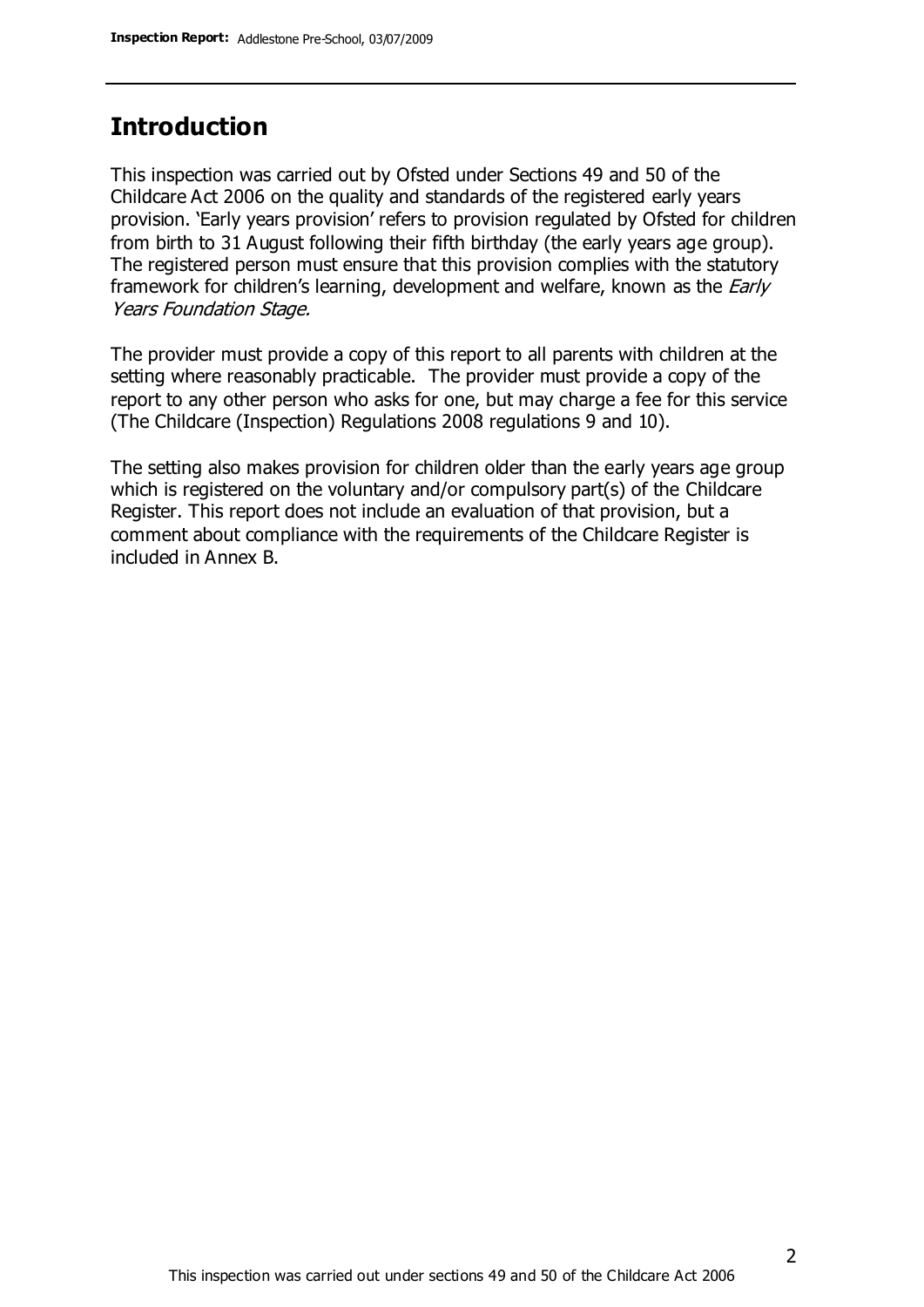### **Introduction**

This inspection was carried out by Ofsted under Sections 49 and 50 of the Childcare Act 2006 on the quality and standards of the registered early years provision. 'Early years provision' refers to provision regulated by Ofsted for children from birth to 31 August following their fifth birthday (the early years age group). The registered person must ensure that this provision complies with the statutory framework for children's learning, development and welfare, known as the *Early* Years Foundation Stage.

The provider must provide a copy of this report to all parents with children at the setting where reasonably practicable. The provider must provide a copy of the report to any other person who asks for one, but may charge a fee for this service (The Childcare (Inspection) Regulations 2008 regulations 9 and 10).

The setting also makes provision for children older than the early years age group which is registered on the voluntary and/or compulsory part(s) of the Childcare Register. This report does not include an evaluation of that provision, but a comment about compliance with the requirements of the Childcare Register is included in Annex B.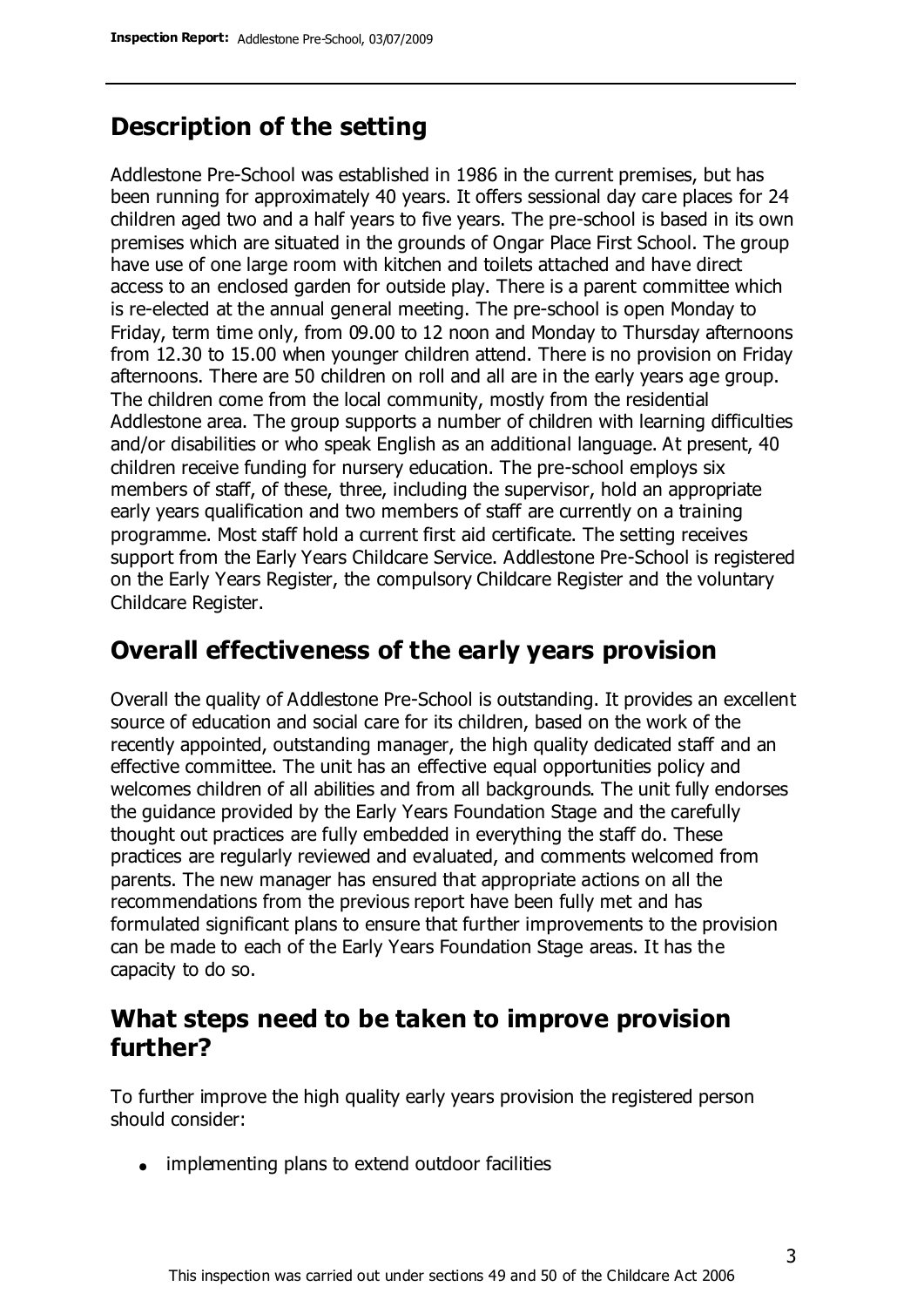### **Description of the setting**

Addlestone Pre-School was established in 1986 in the current premises, but has been running for approximately 40 years. It offers sessional day care places for 24 children aged two and a half years to five years. The pre-school is based in its own premises which are situated in the grounds of Ongar Place First School. The group have use of one large room with kitchen and toilets attached and have direct access to an enclosed garden for outside play. There is a parent committee which is re-elected at the annual general meeting. The pre-school is open Monday to Friday, term time only, from 09.00 to 12 noon and Monday to Thursday afternoons from 12.30 to 15.00 when younger children attend. There is no provision on Friday afternoons. There are 50 children on roll and all are in the early years age group. The children come from the local community, mostly from the residential Addlestone area. The group supports a number of children with learning difficulties and/or disabilities or who speak English as an additional language. At present, 40 children receive funding for nursery education. The pre-school employs six members of staff, of these, three, including the supervisor, hold an appropriate early years qualification and two members of staff are currently on a training programme. Most staff hold a current first aid certificate. The setting receives support from the Early Years Childcare Service. Addlestone Pre-School is registered on the Early Years Register, the compulsory Childcare Register and the voluntary Childcare Register.

### **Overall effectiveness of the early years provision**

Overall the quality of Addlestone Pre-School is outstanding. It provides an excellent source of education and social care for its children, based on the work of the recently appointed, outstanding manager, the high quality dedicated staff and an effective committee. The unit has an effective equal opportunities policy and welcomes children of all abilities and from all backgrounds. The unit fully endorses the guidance provided by the Early Years Foundation Stage and the carefully thought out practices are fully embedded in everything the staff do. These practices are regularly reviewed and evaluated, and comments welcomed from parents. The new manager has ensured that appropriate actions on all the recommendations from the previous report have been fully met and has formulated significant plans to ensure that further improvements to the provision can be made to each of the Early Years Foundation Stage areas. It has the capacity to do so.

### **What steps need to be taken to improve provision further?**

To further improve the high quality early years provision the registered person should consider:

• implementing plans to extend outdoor facilities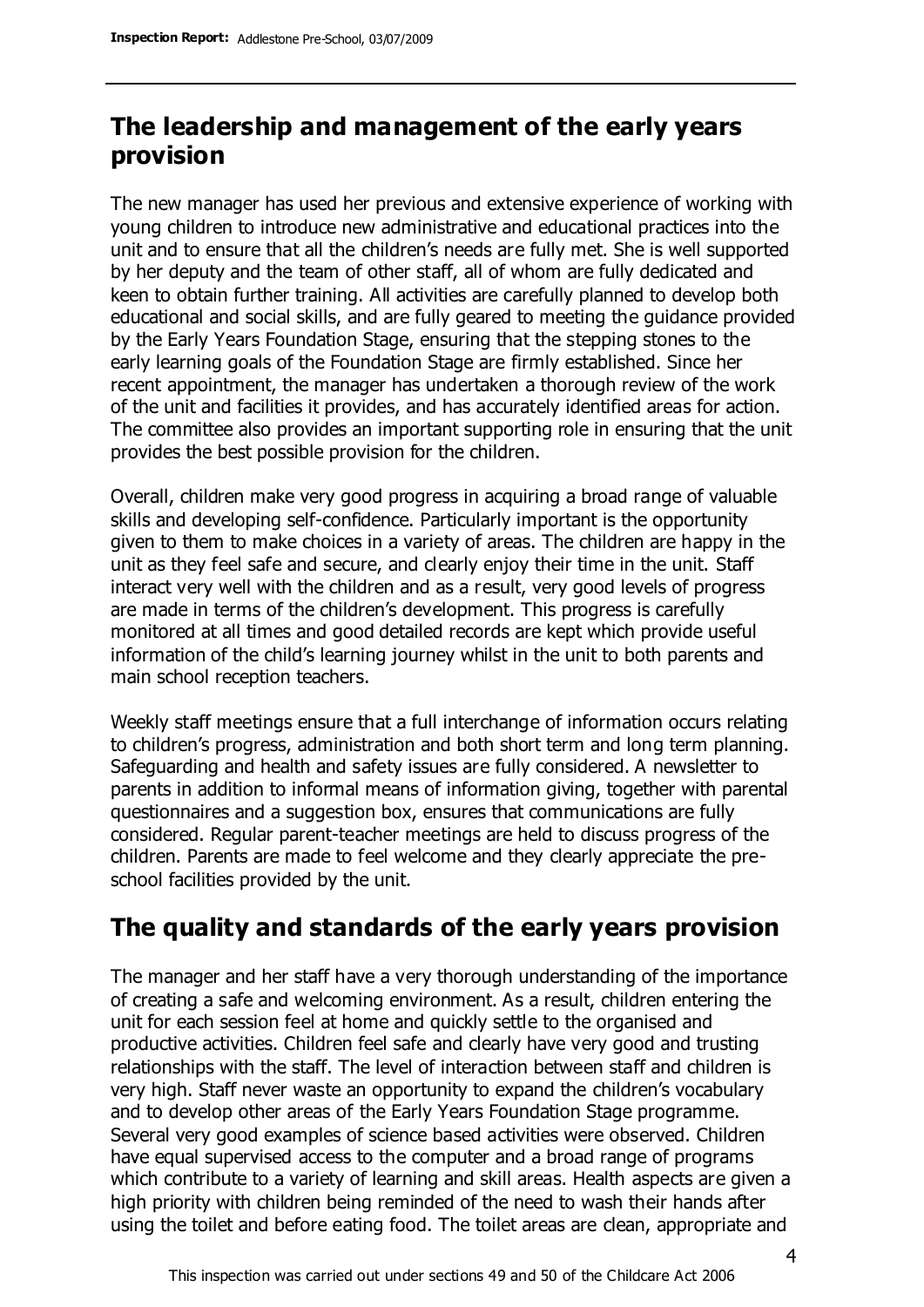### **The leadership and management of the early years provision**

The new manager has used her previous and extensive experience of working with young children to introduce new administrative and educational practices into the unit and to ensure that all the children's needs are fully met. She is well supported by her deputy and the team of other staff, all of whom are fully dedicated and keen to obtain further training. All activities are carefully planned to develop both educational and social skills, and are fully geared to meeting the guidance provided by the Early Years Foundation Stage, ensuring that the stepping stones to the early learning goals of the Foundation Stage are firmly established. Since her recent appointment, the manager has undertaken a thorough review of the work of the unit and facilities it provides, and has accurately identified areas for action. The committee also provides an important supporting role in ensuring that the unit provides the best possible provision for the children.

Overall, children make very good progress in acquiring a broad range of valuable skills and developing self-confidence. Particularly important is the opportunity given to them to make choices in a variety of areas. The children are happy in the unit as they feel safe and secure, and clearly enjoy their time in the unit. Staff interact very well with the children and as a result, very good levels of progress are made in terms of the children's development. This progress is carefully monitored at all times and good detailed records are kept which provide useful information of the child's learning journey whilst in the unit to both parents and main school reception teachers.

Weekly staff meetings ensure that a full interchange of information occurs relating to children's progress, administration and both short term and long term planning. Safeguarding and health and safety issues are fully considered. A newsletter to parents in addition to informal means of information giving, together with parental questionnaires and a suggestion box, ensures that communications are fully considered. Regular parent-teacher meetings are held to discuss progress of the children. Parents are made to feel welcome and they clearly appreciate the preschool facilities provided by the unit.

### **The quality and standards of the early years provision**

The manager and her staff have a very thorough understanding of the importance of creating a safe and welcoming environment. As a result, children entering the unit for each session feel at home and quickly settle to the organised and productive activities. Children feel safe and clearly have very good and trusting relationships with the staff. The level of interaction between staff and children is very high. Staff never waste an opportunity to expand the children's vocabulary and to develop other areas of the Early Years Foundation Stage programme. Several very good examples of science based activities were observed. Children have equal supervised access to the computer and a broad range of programs which contribute to a variety of learning and skill areas. Health aspects are given a high priority with children being reminded of the need to wash their hands after using the toilet and before eating food. The toilet areas are clean, appropriate and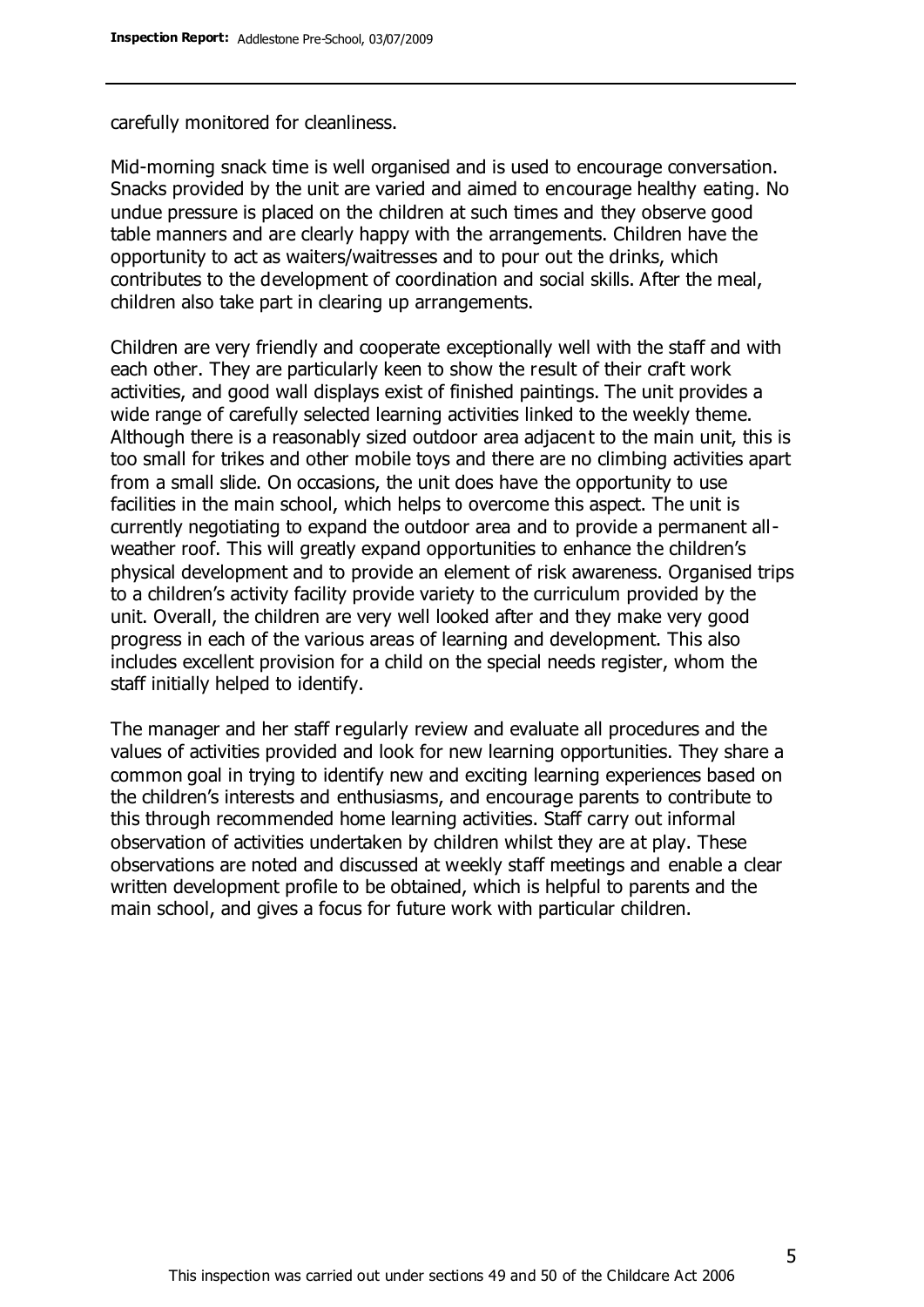carefully monitored for cleanliness.

Mid-morning snack time is well organised and is used to encourage conversation. Snacks provided by the unit are varied and aimed to encourage healthy eating. No undue pressure is placed on the children at such times and they observe good table manners and are clearly happy with the arrangements. Children have the opportunity to act as waiters/waitresses and to pour out the drinks, which contributes to the development of coordination and social skills. After the meal, children also take part in clearing up arrangements.

Children are very friendly and cooperate exceptionally well with the staff and with each other. They are particularly keen to show the result of their craft work activities, and good wall displays exist of finished paintings. The unit provides a wide range of carefully selected learning activities linked to the weekly theme. Although there is a reasonably sized outdoor area adjacent to the main unit, this is too small for trikes and other mobile toys and there are no climbing activities apart from a small slide. On occasions, the unit does have the opportunity to use facilities in the main school, which helps to overcome this aspect. The unit is currently negotiating to expand the outdoor area and to provide a permanent allweather roof. This will greatly expand opportunities to enhance the children's physical development and to provide an element of risk awareness. Organised trips to a children's activity facility provide variety to the curriculum provided by the unit. Overall, the children are very well looked after and they make very good progress in each of the various areas of learning and development. This also includes excellent provision for a child on the special needs register, whom the staff initially helped to identify.

The manager and her staff regularly review and evaluate all procedures and the values of activities provided and look for new learning opportunities. They share a common goal in trying to identify new and exciting learning experiences based on the children's interests and enthusiasms, and encourage parents to contribute to this through recommended home learning activities. Staff carry out informal observation of activities undertaken by children whilst they are at play. These observations are noted and discussed at weekly staff meetings and enable a clear written development profile to be obtained, which is helpful to parents and the main school, and gives a focus for future work with particular children.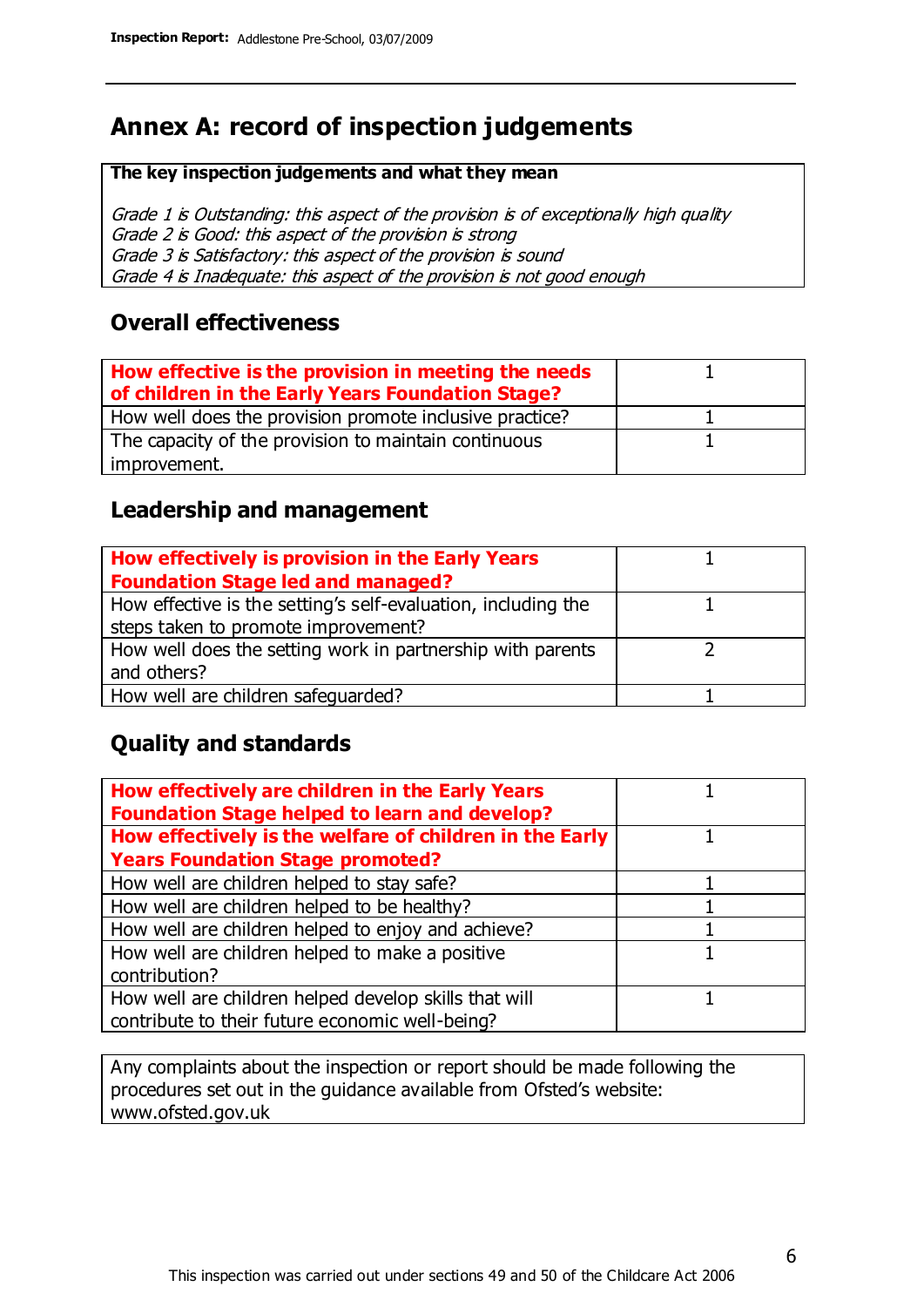### **Annex A: record of inspection judgements**

#### **The key inspection judgements and what they mean**

Grade 1 is Outstanding: this aspect of the provision is of exceptionally high quality Grade 2 is Good: this aspect of the provision is strong Grade 3 is Satisfactory: this aspect of the provision is sound Grade 4 is Inadequate: this aspect of the provision is not good enough

#### **Overall effectiveness**

| How effective is the provision in meeting the needs<br>of children in the Early Years Foundation Stage? |  |
|---------------------------------------------------------------------------------------------------------|--|
| How well does the provision promote inclusive practice?                                                 |  |
| The capacity of the provision to maintain continuous                                                    |  |
| improvement.                                                                                            |  |

#### **Leadership and management**

| How effectively is provision in the Early Years               |  |
|---------------------------------------------------------------|--|
| <b>Foundation Stage led and managed?</b>                      |  |
| How effective is the setting's self-evaluation, including the |  |
| steps taken to promote improvement?                           |  |
| How well does the setting work in partnership with parents    |  |
| and others?                                                   |  |
| How well are children safequarded?                            |  |

### **Quality and standards**

| How effectively are children in the Early Years<br><b>Foundation Stage helped to learn and develop?</b> |  |
|---------------------------------------------------------------------------------------------------------|--|
| How effectively is the welfare of children in the Early                                                 |  |
| <b>Years Foundation Stage promoted?</b>                                                                 |  |
| How well are children helped to stay safe?                                                              |  |
| How well are children helped to be healthy?                                                             |  |
| How well are children helped to enjoy and achieve?                                                      |  |
| How well are children helped to make a positive                                                         |  |
| contribution?                                                                                           |  |
| How well are children helped develop skills that will                                                   |  |
| contribute to their future economic well-being?                                                         |  |

Any complaints about the inspection or report should be made following the procedures set out in the guidance available from Ofsted's website: www.ofsted.gov.uk